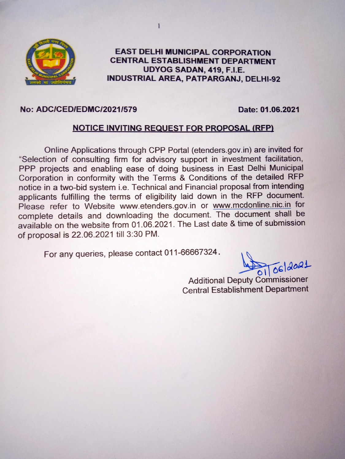

#### **EAST DELHI MUNICIPAL CORPORATION CENTRAL ESTABLISHMENT DEPARTMENT** UDYOG SADAN, 419, F.I.E. **INDUSTRIAL AREA, PATPARGANJ, DELHI-92**

#### **No: ADC/CED/EDMC/2021/579**

Date: 01.06.2021

#### **NOTICE INVITING REQUEST FOR PROPOSAL (RFP)**

Online Applications through CPP Portal (etenders.gov.in) are invited for "Selection of consulting firm for advisory support in investment facilitation, PPP projects and enabling ease of doing business in East Delhi Municipal Corporation in conformity with the Terms & Conditions of the detailed RFP notice in a two-bid system i.e. Technical and Financial proposal from intending applicants fulfilling the terms of eligibility laid down in the RFP document. Please refer to Website www.etenders.gov.in or www.mcdonline.nic.in for complete details and downloading the document. The document shall be available on the website from 01.06.2021. The Last date & time of submission of proposal is 22.06.2021 till 3:30 PM.

For any queries, please contact 011-66667324.

**Additional Deputy Commissioner Central Establishment Department**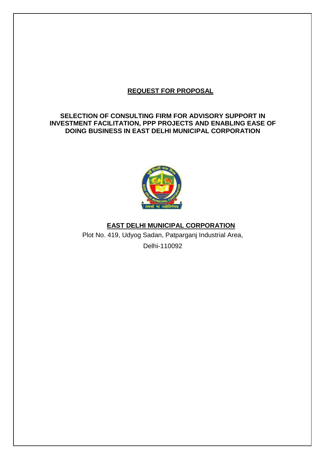## **REQUEST FOR PROPOSAL**

## **SELECTION OF CONSULTING FIRM FOR ADVISORY SUPPORT IN INVESTMENT FACILITATION, PPP PROJECTS AND ENABLING EASE OF DOING BUSINESS IN EAST DELHI MUNICIPAL CORPORATION**



## **EAST DELHI MUNICIPAL CORPORATION**

Plot No. 419, Udyog Sadan, Patparganj Industrial Area, Delhi-110092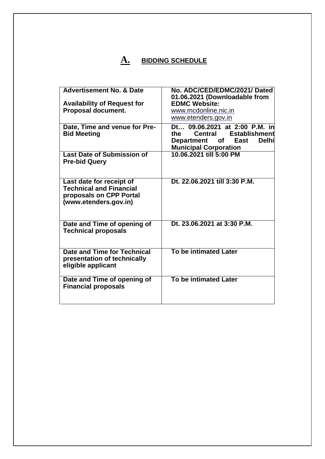# **A. BIDDING SCHEDULE**

| <b>Advertisement No. &amp; Date</b>                                                                            | No. ADC/CED/EDMC/2021/ Dated<br>01.06.2021 (Downloadable from                                                                                           |
|----------------------------------------------------------------------------------------------------------------|---------------------------------------------------------------------------------------------------------------------------------------------------------|
| <b>Availability of Request for</b>                                                                             | <b>EDMC Website:</b>                                                                                                                                    |
| Proposal document.                                                                                             | www.mcdonline.nic.in                                                                                                                                    |
|                                                                                                                | www.etenders.gov.in                                                                                                                                     |
| Date, Time and venue for Pre-<br><b>Bid Meeting</b>                                                            | Dt 09.06.2021 at 2:00 P.M. in<br><b>Establishment</b><br>Central<br>the<br><b>Delhi</b><br>Department of<br><b>East</b><br><b>Municipal Corporation</b> |
| <b>Last Date of Submission of</b><br><b>Pre-bid Query</b>                                                      | 10.06.2021 till 5:00 PM                                                                                                                                 |
| Last date for receipt of<br><b>Technical and Financial</b><br>proposals on CPP Portal<br>(www.etenders.gov.in) | Dt. 22.06.2021 till 3:30 P.M.                                                                                                                           |
| Date and Time of opening of<br><b>Technical proposals</b>                                                      | Dt. 23.06.2021 at 3:30 P.M.                                                                                                                             |
| Date and Time for Technical<br>presentation of technically<br>eligible applicant                               | To be intimated Later                                                                                                                                   |
| Date and Time of opening of<br><b>Financial proposals</b>                                                      | <b>To be intimated Later</b>                                                                                                                            |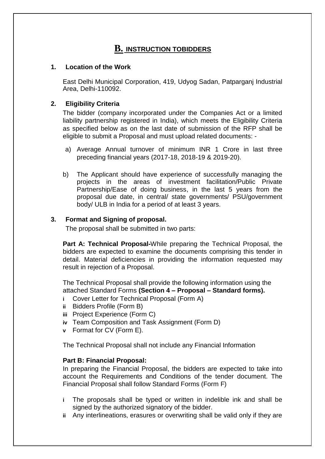# **B. INSTRUCTION TOBIDDERS**

#### **1. Location of the Work**

East Delhi Municipal Corporation, 419, Udyog Sadan, Patparganj Industrial Area, Delhi-110092.

## **2. Eligibility Criteria**

The bidder (company incorporated under the Companies Act or a limited liability partnership registered in India), which meets the Eligibility Criteria as specified below as on the last date of submission of the RFP shall be eligible to submit a Proposal and must upload related documents: -

- a) Average Annual turnover of minimum INR 1 Crore in last three preceding financial years (2017-18, 2018-19 & 2019-20).
- b) The Applicant should have experience of successfully managing the projects in the areas of investment facilitation/Public Private Partnership/Ease of doing business, in the last 5 years from the proposal due date, in central/ state governments/ PSU/government body/ ULB in India for a period of at least 3 years.

## **3. Format and Signing of proposal.**

The proposal shall be submitted in two parts:

**Part A: Technical Proposal-**While preparing the Technical Proposal, the bidders are expected to examine the documents comprising this tender in detail. Material deficiencies in providing the information requested may result in rejection of a Proposal.

The Technical Proposal shall provide the following information using the attached Standard Forms **(Section 4 – Proposal – Standard forms).**

- **i** Cover Letter for Technical Proposal (Form A)
- **ii** Bidders Profile (Form B)
- **iii** Project Experience (Form C)
- **iv** Team Composition and Task Assignment (Form D)
- **v** Format for CV (Form E).

The Technical Proposal shall not include any Financial Information

## **Part B: Financial Proposal:**

In preparing the Financial Proposal, the bidders are expected to take into account the Requirements and Conditions of the tender document. The Financial Proposal shall follow Standard Forms (Form F)

- **i** The proposals shall be typed or written in indelible ink and shall be signed by the authorized signatory of the bidder.
- **ii** Any interlineations, erasures or overwriting shall be valid only if they are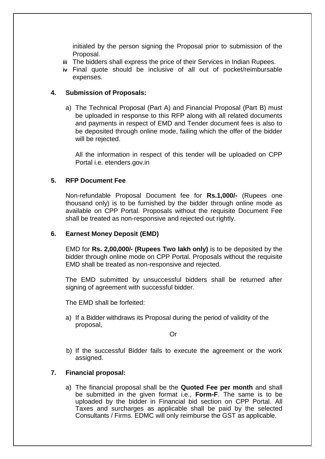initialed by the person signing the Proposal prior to submission of the Proposal.

- **iii** The bidders shall express the price of their Services in Indian Rupees.
- **iv** Final quote should be inclusive of all out of pocket/reimbursable expenses.

## **4. Submission of Proposals:**

a) The Technical Proposal (Part A) and Financial Proposal (Part B) must be uploaded in response to this RFP along with all related documents and payments in respect of EMD and Tender document fees is also to be deposited through online mode, failing which the offer of the bidder will be rejected.

All the information in respect of this tender will be uploaded on CPP Portal i.e. etenders.gov.in

#### **5. RFP Document Fee**

Non-refundable Proposal Document fee for **Rs.1,000/-** (Rupees one thousand only) is to be furnished by the bidder through online mode as available on CPP Portal. Proposals without the requisite Document Fee shall be treated as non-responsive and rejected out rightly.

#### **6. Earnest Money Deposit (EMD)**

EMD for **Rs. 2,00,000/- (Rupees Two lakh only)** is to be deposited by the bidder through online mode on CPP Portal. Proposals without the requisite EMD shall be treated as non-responsive and rejected.

The EMD submitted by unsuccessful bidders shall be returned after signing of agreement with successful bidder.

The EMD shall be forfeited:

a) If a Bidder withdraws its Proposal during the period of validity of the proposal,

Or

b) If the successful Bidder fails to execute the agreement or the work assigned.

#### **7. Financial proposal:**

a) The financial proposal shall be the **Quoted Fee per month** and shall be submitted in the given format i.e., **Form-F**. The same is to be uploaded by the bidder in Financial bid section on CPP Portal. All Taxes and surcharges as applicable shall be paid by the selected Consultants / Firms. EDMC will only reimburse the GST as applicable.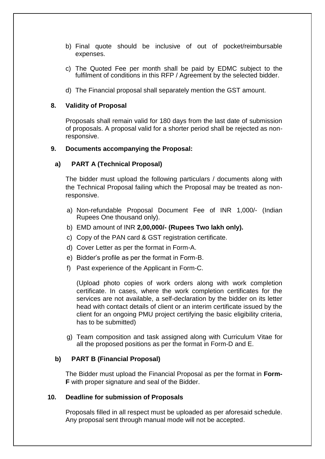- b) Final quote should be inclusive of out of pocket/reimbursable expenses.
- c) The Quoted Fee per month shall be paid by EDMC subject to the fulfilment of conditions in this RFP / Agreement by the selected bidder.
- d) The Financial proposal shall separately mention the GST amount.

#### **8. Validity of Proposal**

Proposals shall remain valid for 180 days from the last date of submission of proposals. A proposal valid for a shorter period shall be rejected as nonresponsive.

#### **9. Documents accompanying the Proposal:**

#### **a) PART A (Technical Proposal)**

The bidder must upload the following particulars / documents along with the Technical Proposal failing which the Proposal may be treated as nonresponsive.

- a) Non-refundable Proposal Document Fee of INR 1,000/- (Indian Rupees One thousand only).
- b) EMD amount of INR **2,00,000/- (Rupees Two lakh only).**
- c) Copy of the PAN card & GST registration certificate.
- d) Cover Letter as per the format in Form-A.
- e) Bidder's profile as per the format in Form-B.
- f) Past experience of the Applicant in Form-C.

(Upload photo copies of work orders along with work completion certificate. In cases, where the work completion certificates for the services are not available, a self-declaration by the bidder on its letter head with contact details of client or an interim certificate issued by the client for an ongoing PMU project certifying the basic eligibility criteria, has to be submitted)

g) Team composition and task assigned along with Curriculum Vitae for all the proposed positions as per the format in Form-D and E.

#### **b) PART B (Financial Proposal)**

The Bidder must upload the Financial Proposal as per the format in **Form-F** with proper signature and seal of the Bidder.

#### **10. Deadline for submission of Proposals**

Proposals filled in all respect must be uploaded as per aforesaid schedule. Any proposal sent through manual mode will not be accepted.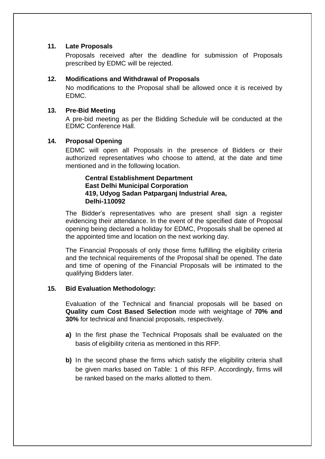## **11. Late Proposals**

Proposals received after the deadline for submission of Proposals prescribed by EDMC will be rejected.

## **12. Modifications and Withdrawal of Proposals**

No modifications to the Proposal shall be allowed once it is received by EDMC.

## **13. Pre-Bid Meeting**

A pre-bid meeting as per the Bidding Schedule will be conducted at the EDMC Conference Hall.

## **14. Proposal Opening**

EDMC will open all Proposals in the presence of Bidders or their authorized representatives who choose to attend, at the date and time mentioned and in the following location.

## **Central Establishment Department East Delhi Municipal Corporation 419, Udyog Sadan Patparganj Industrial Area, Delhi-110092**

The Bidder's representatives who are present shall sign a register evidencing their attendance. In the event of the specified date of Proposal opening being declared a holiday for EDMC, Proposals shall be opened at the appointed time and location on the next working day.

The Financial Proposals of only those firms fulfilling the eligibility criteria and the technical requirements of the Proposal shall be opened. The date and time of opening of the Financial Proposals will be intimated to the qualifying Bidders later.

## **15. Bid Evaluation Methodology:**

Evaluation of the Technical and financial proposals will be based on **Quality cum Cost Based Selection** mode with weightage of **70% and 30%** for technical and financial proposals, respectively.

- **a)** In the first phase the Technical Proposals shall be evaluated on the basis of eligibility criteria as mentioned in this RFP.
- **b)** In the second phase the firms which satisfy the eligibility criteria shall be given marks based on Table: 1 of this RFP. Accordingly, firms will be ranked based on the marks allotted to them.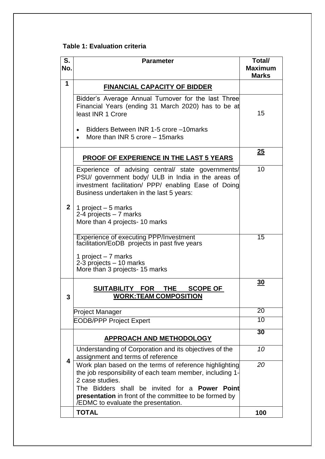## **Table 1: Evaluation criteria**

| S.<br>No.      | <b>Parameter</b>                                                                                                                                                                                                                                                | Total/<br><b>Maximum</b><br><b>Marks</b> |
|----------------|-----------------------------------------------------------------------------------------------------------------------------------------------------------------------------------------------------------------------------------------------------------------|------------------------------------------|
| 1              | <b>FINANCIAL CAPACITY OF BIDDER</b>                                                                                                                                                                                                                             |                                          |
|                | Bidder's Average Annual Turnover for the last Three<br>Financial Years (ending 31 March 2020) has to be at<br>least INR 1 Crore                                                                                                                                 | 15                                       |
|                | Bidders Between INR 1-5 crore -10 marks<br>$\bullet$<br>More than INR 5 crore – 15 marks                                                                                                                                                                        |                                          |
|                | <b>PROOF OF EXPERIENCE IN THE LAST 5 YEARS</b>                                                                                                                                                                                                                  | 25                                       |
|                | Experience of advising central/ state governments/<br>PSU/ government body/ ULB in India in the areas of<br>investment facilitation/ PPP/ enabling Ease of Doing<br>Business undertaken in the last 5 years:                                                    | 10                                       |
| 2 <sup>1</sup> | 1 project $-5$ marks<br>2-4 projects - 7 marks<br>More than 4 projects- 10 marks                                                                                                                                                                                |                                          |
|                | Experience of executing PPP/Investment<br>facilitation/EoDB projects in past five years                                                                                                                                                                         | 15                                       |
|                | 1 project - 7 marks<br>2-3 projects - 10 marks<br>More than 3 projects- 15 marks                                                                                                                                                                                |                                          |
| 3              | SUITABILITY FOR THE<br><b>SCOPE OF</b><br><b>WORK:TEAM COMPOSITION</b>                                                                                                                                                                                          | <u>30</u>                                |
|                | <b>Project Manager</b>                                                                                                                                                                                                                                          | 20                                       |
|                | <b>EODB/PPP Project Expert</b>                                                                                                                                                                                                                                  | 10                                       |
|                | <b>APPROACH AND METHODOLOGY</b>                                                                                                                                                                                                                                 | $\overline{30}$                          |
|                | Understanding of Corporation and its objectives of the<br>assignment and terms of reference                                                                                                                                                                     | 10                                       |
| 4              | Work plan based on the terms of reference highlighting<br>the job responsibility of each team member, including 1-<br>2 case studies.<br>The Bidders shall be invited for a <b>Power Point</b><br><b>presentation</b> in front of the committee to be formed by | 20                                       |
|                | /EDMC to evaluate the presentation.<br><b>TOTAL</b>                                                                                                                                                                                                             | 100                                      |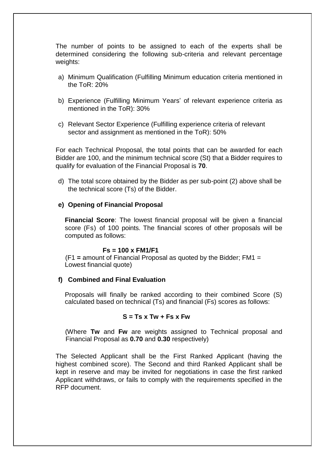The number of points to be assigned to each of the experts shall be determined considering the following sub-criteria and relevant percentage weights:

- a) Minimum Qualification (Fulfilling Minimum education criteria mentioned in the ToR: 20%
- b) Experience (Fulfilling Minimum Years' of relevant experience criteria as mentioned in the ToR): 30%
- c) Relevant Sector Experience (Fulfilling experience criteria of relevant sector and assignment as mentioned in the ToR): 50%

For each Technical Proposal, the total points that can be awarded for each Bidder are 100, and the minimum technical score (St) that a Bidder requires to qualify for evaluation of the Financial Proposal is **70**.

d) The total score obtained by the Bidder as per sub-point (2) above shall be the technical score (Ts) of the Bidder.

#### **e) Opening of Financial Proposal**

**Financial Score**: The lowest financial proposal will be given a financial score (Fs) of 100 points. The financial scores of other proposals will be computed as follows:

#### **Fs = 100 x FM1/F1**

(F1 **=** amount of Financial Proposal as quoted by the Bidder; FM1 = Lowest financial quote)

#### **f) Combined and Final Evaluation**

Proposals will finally be ranked according to their combined Score (S) calculated based on technical (Ts) and financial (Fs) scores as follows:

#### **S = Ts x Tw + Fs x Fw**

(Where **Tw** and **Fw** are weights assigned to Technical proposal and Financial Proposal as **0.70** and **0.30** respectively)

The Selected Applicant shall be the First Ranked Applicant (having the highest combined score). The Second and third Ranked Applicant shall be kept in reserve and may be invited for negotiations in case the first ranked Applicant withdraws, or fails to comply with the requirements specified in the RFP document.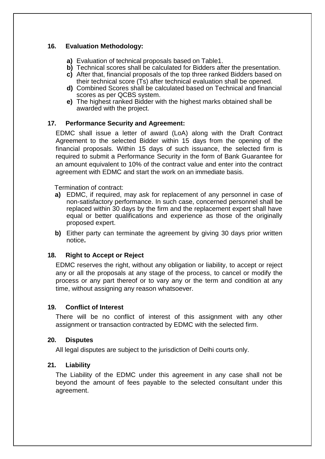## **16. Evaluation Methodology:**

- **a)** Evaluation of technical proposals based on Table1.
- **b)** Technical scores shall be calculated for Bidders after the presentation.
- **c)** After that, financial proposals of the top three ranked Bidders based on their technical score (Ts) after technical evaluation shall be opened.
- **d)** Combined Scores shall be calculated based on Technical and financial scores as per QCBS system.
- **e)** The highest ranked Bidder with the highest marks obtained shall be awarded with the project.

## **17. Performance Security and Agreement:**

EDMC shall issue a letter of award (LoA) along with the Draft Contract Agreement to the selected Bidder within 15 days from the opening of the financial proposals. Within 15 days of such issuance, the selected firm is required to submit a Performance Security in the form of Bank Guarantee for an amount equivalent to 10% of the contract value and enter into the contract agreement with EDMC and start the work on an immediate basis.

Termination of contract:

- **a)** EDMC, if required, may ask for replacement of any personnel in case of non-satisfactory performance. In such case, concerned personnel shall be replaced within 30 days by the firm and the replacement expert shall have equal or better qualifications and experience as those of the originally proposed expert.
- **b)** Either party can terminate the agreement by giving 30 days prior written notice**.**

## **18. Right to Accept or Reject**

EDMC reserves the right, without any obligation or liability, to accept or reject any or all the proposals at any stage of the process, to cancel or modify the process or any part thereof or to vary any or the term and condition at any time, without assigning any reason whatsoever.

#### **19. Conflict of Interest**

There will be no conflict of interest of this assignment with any other assignment or transaction contracted by EDMC with the selected firm.

#### **20. Disputes**

All legal disputes are subject to the jurisdiction of Delhi courts only.

## **21. Liability**

The Liability of the EDMC under this agreement in any case shall not be beyond the amount of fees payable to the selected consultant under this agreement.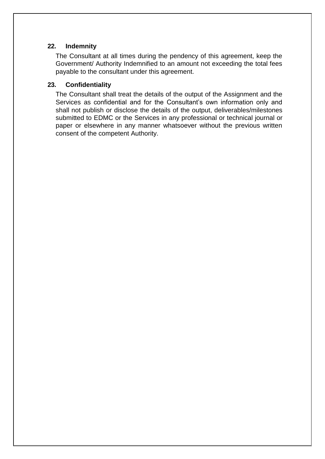## **22. Indemnity**

The Consultant at all times during the pendency of this agreement, keep the Government/ Authority Indemnified to an amount not exceeding the total fees payable to the consultant under this agreement.

## **23. Confidentiality**

The Consultant shall treat the details of the output of the Assignment and the Services as confidential and for the Consultant's own information only and shall not publish or disclose the details of the output, deliverables/milestones submitted to EDMC or the Services in any professional or technical journal or paper or elsewhere in any manner whatsoever without the previous written consent of the competent Authority.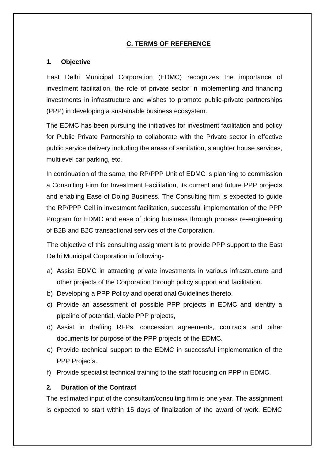## **C. TERMS OF REFERENCE**

#### **1. Objective**

East Delhi Municipal Corporation (EDMC) recognizes the importance of investment facilitation, the role of private sector in implementing and financing investments in infrastructure and wishes to promote public-private partnerships (PPP) in developing a sustainable business ecosystem.

The EDMC has been pursuing the initiatives for investment facilitation and policy for Public Private Partnership to collaborate with the Private sector in effective public service delivery including the areas of sanitation, slaughter house services, multilevel car parking, etc.

In continuation of the same, the RP/PPP Unit of EDMC is planning to commission a Consulting Firm for Investment Facilitation, its current and future PPP projects and enabling Ease of Doing Business. The Consulting firm is expected to guide the RP/PPP Cell in investment facilitation, successful implementation of the PPP Program for EDMC and ease of doing business through process re-engineering of B2B and B2C transactional services of the Corporation.

The objective of this consulting assignment is to provide PPP support to the East Delhi Municipal Corporation in following-

- a) Assist EDMC in attracting private investments in various infrastructure and other projects of the Corporation through policy support and facilitation.
- b) Developing a PPP Policy and operational Guidelines thereto.
- c) Provide an assessment of possible PPP projects in EDMC and identify a pipeline of potential, viable PPP projects,
- d) Assist in drafting RFPs, concession agreements, contracts and other documents for purpose of the PPP projects of the EDMC.
- e) Provide technical support to the EDMC in successful implementation of the PPP Projects.
- f) Provide specialist technical training to the staff focusing on PPP in EDMC.

#### **2. Duration of the Contract**

The estimated input of the consultant/consulting firm is one year. The assignment is expected to start within 15 days of finalization of the award of work. EDMC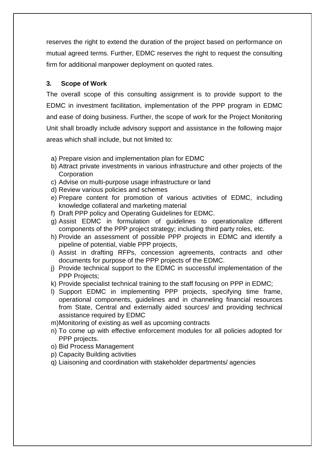reserves the right to extend the duration of the project based on performance on mutual agreed terms. Further, EDMC reserves the right to request the consulting firm for additional manpower deployment on quoted rates.

## **3. Scope of Work**

The overall scope of this consulting assignment is to provide support to the EDMC in investment facilitation, implementation of the PPP program in EDMC and ease of doing business. Further, the scope of work for the Project Monitoring Unit shall broadly include advisory support and assistance in the following major areas which shall include, but not limited to:

- a) Prepare vision and implementation plan for EDMC
- b) Attract private investments in various infrastructure and other projects of the **Corporation**
- c) Advise on multi-purpose usage infrastructure or land
- d) Review various policies and schemes
- e) Prepare content for promotion of various activities of EDMC, including knowledge collateral and marketing material
- f) Draft PPP policy and Operating Guidelines for EDMC.
- g) Assist EDMC in formulation of guidelines to operationalize different components of the PPP project strategy; including third party roles, etc.
- h) Provide an assessment of possible PPP projects in EDMC and identify a pipeline of potential, viable PPP projects,
- i) Assist in drafting RFPs, concession agreements, contracts and other documents for purpose of the PPP projects of the EDMC.
- j) Provide technical support to the EDMC in successful implementation of the PPP Projects;
- k) Provide specialist technical training to the staff focusing on PPP in EDMC;
- l) Support EDMC in implementing PPP projects, specifying time frame, operational components, guidelines and in channeling financial resources from State, Central and externally aided sources/ and providing technical assistance required by EDMC
- m)Monitoring of existing as well as upcoming contracts
- n) To come up with effective enforcement modules for all policies adopted for PPP projects.
- o) Bid Process Management
- p) Capacity Building activities
- q) Liaisoning and coordination with stakeholder departments/ agencies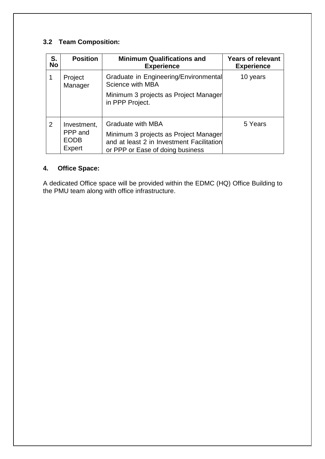## **3.2 Team Composition:**

| S.<br><b>No</b> | <b>Position</b>                                 | <b>Minimum Qualifications and</b><br><b>Experience</b>                                                                                             | <b>Years of relevant</b><br><b>Experience</b> |
|-----------------|-------------------------------------------------|----------------------------------------------------------------------------------------------------------------------------------------------------|-----------------------------------------------|
|                 | Project<br>Manager                              | Graduate in Engineering/Environmental<br>Science with MBA                                                                                          | 10 years                                      |
|                 |                                                 | Minimum 3 projects as Project Manager<br>in PPP Project.                                                                                           |                                               |
| 2               | Investment,<br>PPP and<br><b>EODB</b><br>Expert | <b>Graduate with MBA</b><br>Minimum 3 projects as Project Manager<br>and at least 2 in Investment Facilitation<br>or PPP or Ease of doing business | 5 Years                                       |

## **4. Office Space:**

A dedicated Office space will be provided within the EDMC (HQ) Office Building to the PMU team along with office infrastructure.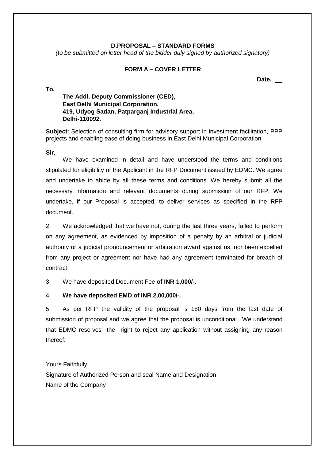#### **D.PROPOSAL – STANDARD FORMS**

*(to be submitted on letter head of the bidder duly signed by authorized signatory)*

#### **FORM A – COVER LETTER**

**Date.\_**

## **The Addl. Deputy Commissioner (CED), East Delhi Municipal Corporation, 419, Udyog Sadan, Patparganj Industrial Area, Delhi-110092.**

**Subject**: Selection of consulting firm for advisory support in investment facilitation, PPP projects and enabling ease of doing business in East Delhi Municipal Corporation

**Sir,**

**To,**

We have examined in detail and have understood the terms and conditions stipulated for eligibility of the Applicant in the RFP Document issued by EDMC. We agree and undertake to abide by all these terms and conditions. We hereby submit all the necessary information and relevant documents during submission of our RFP, We undertake, if our Proposal is accepted, to deliver services as specified in the RFP document.

2. We acknowledged that we have not, during the last three years, failed to perform on any agreement, as evidenced by imposition of a penalty by an arbitral or judicial authority or a judicial pronouncement or arbitration award against us, nor been expelled from any project or agreement nor have had any agreement terminated for breach of contract.

3. We have deposited Document Fee **of INR 1,000/-.**

#### 4. **We have deposited EMD of INR 2,00,000/-.**

5. As per RFP the validity of the proposal is 180 days from the last date of submission of proposal and we agree that the proposal is unconditional. We understand that EDMC reserves the right to reject any application without assigning any reason thereof.

Yours Faithfully, Signature of Authorized Person and seal Name and Designation Name of the Company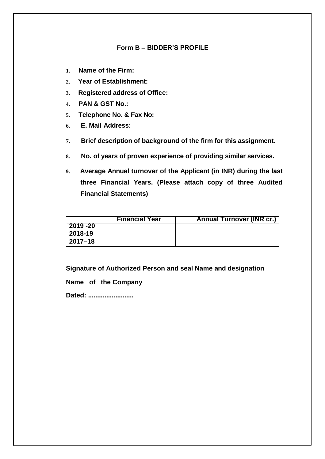#### **Form B – BIDDER'S PROFILE**

- **1. Name of the Firm:**
- **2. Year of Establishment:**
- **3. Registered address of Office:**
- **4. PAN & GST No.:**
- **5. Telephone No. & Fax No:**
- **6. E. Mail Address:**
- **7. Brief description of background of the firm for this assignment.**
- **8. No. of years of proven experience of providing similar services.**
- **9. Average Annual turnover of the Applicant (in INR) during the last three Financial Years. (Please attach copy of three Audited Financial Statements)**

|          | <b>Financial Year</b> | <b>Annual Turnover (INR cr.)</b> |
|----------|-----------------------|----------------------------------|
| 2019 -20 |                       |                                  |
| 2018-19  |                       |                                  |
| 2017–18  |                       |                                  |

**Signature of Authorized Person and seal Name and designation**

**Name of the Company**

**Dated: .........................**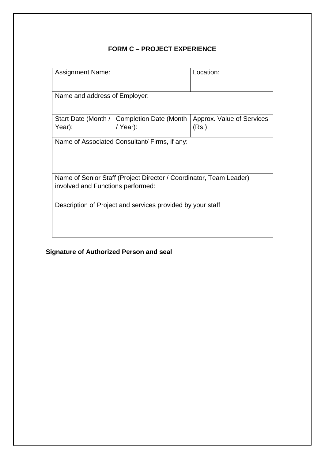## **FORM C – PROJECT EXPERIENCE**

| <b>Assignment Name:</b>                                            |                                | Location:                 |  |
|--------------------------------------------------------------------|--------------------------------|---------------------------|--|
| Name and address of Employer:                                      |                                |                           |  |
| Start Date (Month /                                                | <b>Completion Date (Month)</b> | Approx. Value of Services |  |
| Year):                                                             | / Year):                       | $(Rs.)$ :                 |  |
| Name of Associated Consultant/ Firms, if any:                      |                                |                           |  |
| Name of Senior Staff (Project Director / Coordinator, Team Leader) |                                |                           |  |
| involved and Functions performed:                                  |                                |                           |  |
| Description of Project and services provided by your staff         |                                |                           |  |

# **Signature of Authorized Person and seal**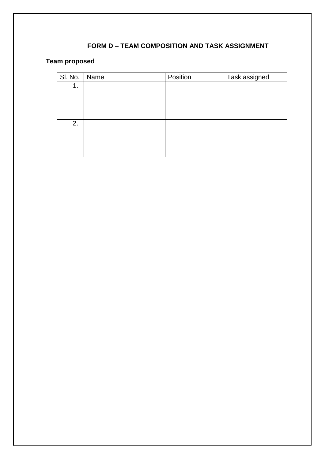## **FORM D – TEAM COMPOSITION AND TASK ASSIGNMENT**

## **Team proposed**

| SI. No.<br>Position<br>Task assigned<br>Name |  |
|----------------------------------------------|--|
| 1.                                           |  |
|                                              |  |
|                                              |  |
|                                              |  |
| 2.                                           |  |
|                                              |  |
|                                              |  |
|                                              |  |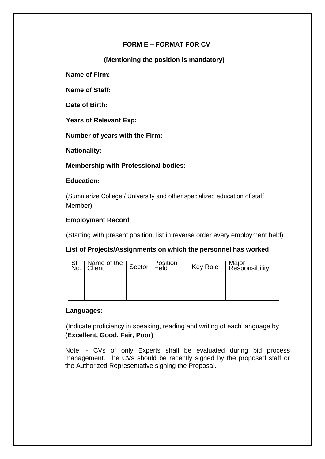## **FORM E – FORMAT FOR CV**

**(Mentioning the position is mandatory)**

**Name of Firm:**

**Name of Staff:**

**Date of Birth:**

**Years of Relevant Exp:**

**Number of years with the Firm:**

**Nationality:**

**Membership with Professional bodies:**

## **Education:**

(Summarize College / University and other specialized education of staff Member)

## **Employment Record**

(Starting with present position, list in reverse order every employment held)

## **List of Projects/Assignments on which the personnel has worked**

| No. | Name of the<br>Client | Sector $ $ | Position<br>Held | <b>Key Role</b> | Major<br>Responsibility |
|-----|-----------------------|------------|------------------|-----------------|-------------------------|
|     |                       |            |                  |                 |                         |
|     |                       |            |                  |                 |                         |
|     |                       |            |                  |                 |                         |

#### **Languages:**

(Indicate proficiency in speaking, reading and writing of each language by **(Excellent, Good, Fair, Poor)**

Note: - CVs of only Experts shall be evaluated during bid process management. The CVs should be recently signed by the proposed staff or the Authorized Representative signing the Proposal.